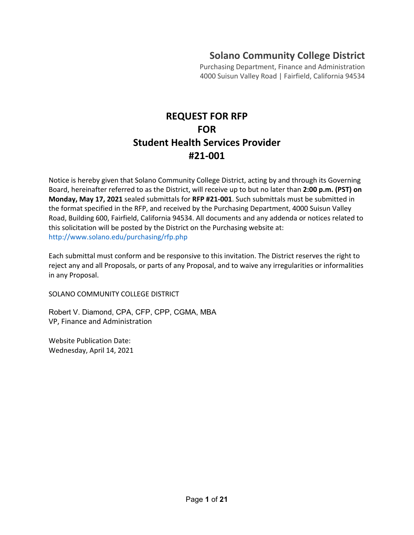## **Solano Community College District**

Purchasing Department, Finance and Administration 4000 Suisun Valley Road | Fairfield, California 94534

# **REQUEST FOR RFP FOR Student Health Services Provider #21-001**

Notice is hereby given that Solano Community College District, acting by and through its Governing Board, hereinafter referred to as the District, will receive up to but no later than **2:00 p.m. (PST) on Monday, May 17, 2021** sealed submittals for **RFP #21-001**. Such submittals must be submitted in the format specified in the RFP, and received by the Purchasing Department, 4000 Suisun Valley Road, Building 600, Fairfield, California 94534. All documents and any addenda or notices related to this solicitation will be posted by the District on the Purchasing website at: http://www.solano.edu/purchasing/rfp.php

Each submittal must conform and be responsive to this invitation. The District reserves the right to reject any and all Proposals, or parts of any Proposal, and to waive any irregularities or informalities in any Proposal.

SOLANO COMMUNITY COLLEGE DISTRICT

Robert V. Diamond, CPA, CFP, CPP, CGMA, MBA VP, Finance and Administration

Website Publication Date: Wednesday, April 14, 2021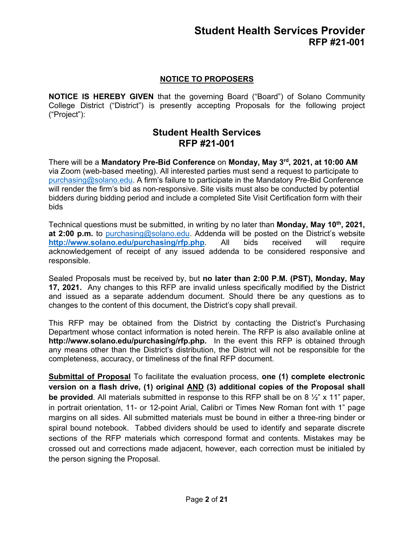## **NOTICE TO PROPOSERS**

**NOTICE IS HEREBY GIVEN** that the governing Board ("Board") of Solano Community College District ("District") is presently accepting Proposals for the following project ("Project"):

## **Student Health Services RFP #21-001**

There will be a **Mandatory Pre-Bid Conference** on **Monday, May 3rd, 2021, at 10:00 AM** via Zoom (web-based meeting). All interested parties must send a request to participate to [purchasing@solano.edu.](mailto:purchasing@solano.edu) A firm's failure to participate in the Mandatory Pre-Bid Conference will render the firm's bid as non-responsive. Site visits must also be conducted by potential bidders during bidding period and include a completed Site Visit Certification form with their bids

Technical questions must be submitted, in writing by no later than **Monday, May 10th, 2021, at 2:00 p.m.** to [purchasing@solano.edu.](mailto:purchasing@solano.edu) Addenda will be posted on the District's website **<http://www.solano.edu/purchasing/rfp.php>**. All bids received will require acknowledgement of receipt of any issued addenda to be considered responsive and responsible.

Sealed Proposals must be received by, but **no later than 2:00 P.M. (PST), Monday, May 17, 2021.** Any changes to this RFP are invalid unless specifically modified by the District and issued as a separate addendum document. Should there be any questions as to changes to the content of this document, the District's copy shall prevail.

This RFP may be obtained from the District by contacting the District's Purchasing Department whose contact information is noted herein. The RFP is also available online at **http://www.solano.edu/purchasing/rfp.php.** In the event this RFP is obtained through any means other than the District's distribution, the District will not be responsible for the completeness, accuracy, or timeliness of the final RFP document.

**Submittal of Proposal** To facilitate the evaluation process, **one (1) complete electronic version on a flash drive, (1) original AND (3) additional copies of the Proposal shall be provided**. All materials submitted in response to this RFP shall be on 8 ½" x 11" paper, in portrait orientation, 11- or 12-point Arial, Calibri or Times New Roman font with 1" page margins on all sides. All submitted materials must be bound in either a three-ring binder or spiral bound notebook. Tabbed dividers should be used to identify and separate discrete sections of the RFP materials which correspond format and contents. Mistakes may be crossed out and corrections made adjacent, however, each correction must be initialed by the person signing the Proposal.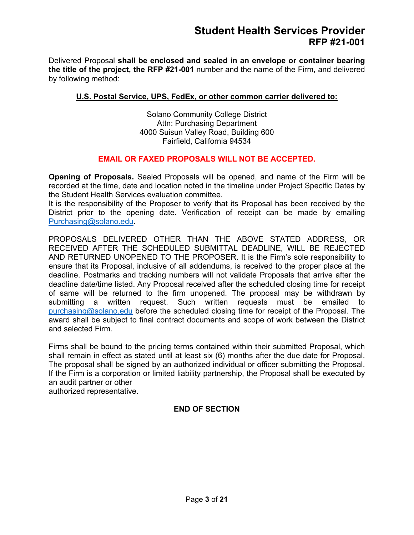Delivered Proposal **shall be enclosed and sealed in an envelope or container bearing the title of the project, the RFP #21-001** number and the name of the Firm, and delivered by following method:

### **U.S. Postal Service, UPS, FedEx, or other common carrier delivered to:**

Solano Community College District Attn: Purchasing Department 4000 Suisun Valley Road, Building 600 Fairfield, California 94534

### **EMAIL OR FAXED PROPOSALS WILL NOT BE ACCEPTED.**

**Opening of Proposals.** Sealed Proposals will be opened, and name of the Firm will be recorded at the time, date and location noted in the timeline under Project Specific Dates by the Student Health Services evaluation committee.

It is the responsibility of the Proposer to verify that its Proposal has been received by the District prior to the opening date. Verification of receipt can be made by emailing [Purchasing@solano.edu.](mailto:Purchasing@solano.edu)

PROPOSALS DELIVERED OTHER THAN THE ABOVE STATED ADDRESS, OR RECEIVED AFTER THE SCHEDULED SUBMITTAL DEADLINE, WILL BE REJECTED AND RETURNED UNOPENED TO THE PROPOSER. It is the Firm's sole responsibility to ensure that its Proposal, inclusive of all addendums, is received to the proper place at the deadline. Postmarks and tracking numbers will not validate Proposals that arrive after the deadline date/time listed. Any Proposal received after the scheduled closing time for receipt of same will be returned to the firm unopened. The proposal may be withdrawn by submitting a written request. Such written requests must be emailed to [purchasing@solano.edu](mailto:purchasing@solano.edu) before the scheduled closing time for receipt of the Proposal. The award shall be subject to final contract documents and scope of work between the District and selected Firm.

Firms shall be bound to the pricing terms contained within their submitted Proposal, which shall remain in effect as stated until at least six (6) months after the due date for Proposal. The proposal shall be signed by an authorized individual or officer submitting the Proposal. If the Firm is a corporation or limited liability partnership, the Proposal shall be executed by an audit partner or other authorized representative.

**END OF SECTION**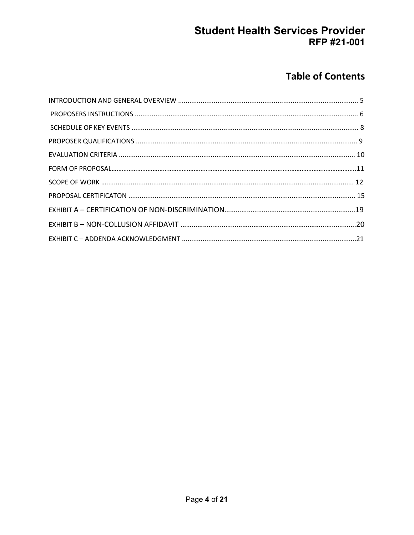# **Table of Contents**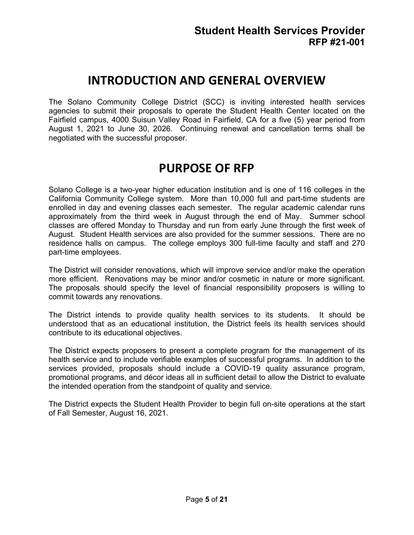# **INTRODUCTION AND GENERAL OVERVIEW**

The Solano Community College District (SCC) is inviting interested health services agencies to submit their proposals to operate the Student Health Center located on the Fairfield campus, 4000 Suisun Valley Road in Fairfield, CA for a five (5) year period from August 1, 2021 to June 30, 2026. Continuing renewal and cancellation terms shall be negotiated with the successful proposer.

# **PURPOSE OF RFP**

Solano College is a two-year higher education institution and is one of 116 colleges in the California Community College system. More than 10,000 full and part-time students are enrolled in day and evening classes each semester. The regular academic calendar runs approximately from the third week in August through the end of May. Summer school classes are offered Monday to Thursday and run from early June through the first week of August. Student Health services are also provided for the summer sessions. There are no residence halls on campus. The college employs 300 full-time faculty and staff and 270 part-time employees.

The District will consider renovations, which will improve service and/or make the operation more efficient. Renovations may be minor and/or cosmetic in nature or more significant. The proposals should specify the level of financial responsibility proposers is willing to commit towards any renovations.

The District intends to provide quality health services to its students. It should be understood that as an educational institution, the District feels its health services should contribute to its educational objectives.

The District expects proposers to present a complete program for the management of its health service and to include verifiable examples of successful programs. In addition to the services provided, proposals should include a COVID-19 quality assurance program, promotional programs, and décor ideas all in sufficient detail to allow the District to evaluate the intended operation from the standpoint of quality and service.

The District expects the Student Health Provider to begin full on-site operations at the start of Fall Semester, August 16, 2021.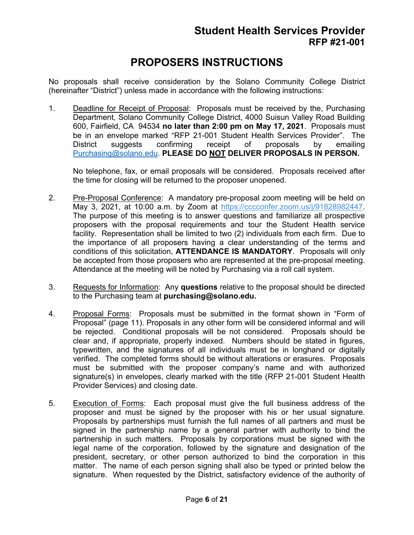# **PROPOSERS INSTRUCTIONS**

No proposals shall receive consideration by the Solano Community College District (hereinafter "District") unless made in accordance with the following instructions:

1. Deadline for Receipt of Proposal: Proposals must be received by the, Purchasing Department, Solano Community College District, 4000 Suisun Valley Road Building 600, Fairfield, CA 94534 **no later than 2:00 pm on May 17, 2021**. Proposals must be in an envelope marked "RFP 21-001 Student Health Services Provider". The District suggests confirming receipt of proposals by emailing [Purchasing@solano.edu.](mailto:Purchasing@solano.edu) **PLEASE DO NOT DELIVER PROPOSALS IN PERSON.**

No telephone, fax, or email proposals will be considered. Proposals received after the time for closing will be returned to the proposer unopened.

- 2. Pre-Proposal Conference: A mandatory pre-proposal zoom meeting will be held on May 3, 2021, at 10:00 a.m. by Zoom at [https://cccconfer.zoom.us/j/91828982447.](https://cccconfer.zoom.us/j/91828982447) The purpose of this meeting is to answer questions and familiarize all prospective proposers with the proposal requirements and tour the Student Health service facility. Representation shall be limited to two (2) individuals from each firm. Due to the importance of all proposers having a clear understanding of the terms and conditions of this solicitation, **ATTENDANCE IS MANDATORY**. Proposals will only be accepted from those proposers who are represented at the pre-proposal meeting. Attendance at the meeting will be noted by Purchasing via a roll call system.
- 3. Requests for Information: Any **questions** relative to the proposal should be directed to the Purchasing team at **purchasing@solano.edu.**
- 4. Proposal Forms: Proposals must be submitted in the format shown in "Form of Proposal" (page 11). Proposals in any other form will be considered informal and will be rejected. Conditional proposals will be not considered. Proposals should be clear and, if appropriate, properly indexed. Numbers should be stated in figures, typewritten, and the signatures of all individuals must be in longhand or digitally verified. The completed forms should be without alterations or erasures. Proposals must be submitted with the proposer company's name and with authorized signature(s) in envelopes, clearly marked with the title (RFP 21-001 Student Health Provider Services) and closing date.
- 5. Execution of Forms: Each proposal must give the full business address of the proposer and must be signed by the proposer with his or her usual signature. Proposals by partnerships must furnish the full names of all partners and must be signed in the partnership name by a general partner with authority to bind the partnership in such matters. Proposals by corporations must be signed with the legal name of the corporation, followed by the signature and designation of the president, secretary, or other person authorized to bind the corporation in this matter. The name of each person signing shall also be typed or printed below the signature. When requested by the District, satisfactory evidence of the authority of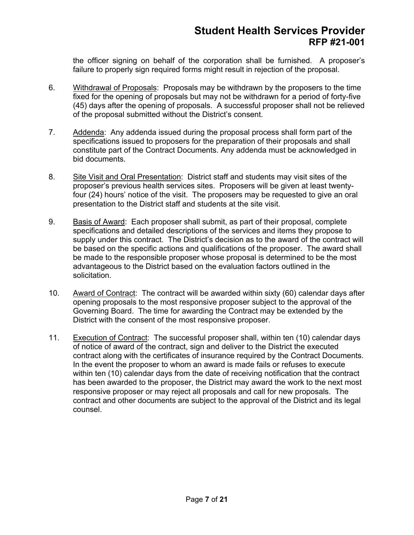the officer signing on behalf of the corporation shall be furnished. A proposer's failure to properly sign required forms might result in rejection of the proposal.

- 6. Withdrawal of Proposals: Proposals may be withdrawn by the proposers to the time fixed for the opening of proposals but may not be withdrawn for a period of forty-five (45) days after the opening of proposals. A successful proposer shall not be relieved of the proposal submitted without the District's consent.
- 7. Addenda: Any addenda issued during the proposal process shall form part of the specifications issued to proposers for the preparation of their proposals and shall constitute part of the Contract Documents. Any addenda must be acknowledged in bid documents.
- 8. Site Visit and Oral Presentation: District staff and students may visit sites of the proposer's previous health services sites. Proposers will be given at least twentyfour (24) hours' notice of the visit. The proposers may be requested to give an oral presentation to the District staff and students at the site visit.
- 9. Basis of Award: Each proposer shall submit, as part of their proposal, complete specifications and detailed descriptions of the services and items they propose to supply under this contract. The District's decision as to the award of the contract will be based on the specific actions and qualifications of the proposer. The award shall be made to the responsible proposer whose proposal is determined to be the most advantageous to the District based on the evaluation factors outlined in the solicitation.
- 10. Award of Contract: The contract will be awarded within sixty (60) calendar days after opening proposals to the most responsive proposer subject to the approval of the Governing Board. The time for awarding the Contract may be extended by the District with the consent of the most responsive proposer.
- 11. Execution of Contract: The successful proposer shall, within ten (10) calendar days of notice of award of the contract, sign and deliver to the District the executed contract along with the certificates of insurance required by the Contract Documents. In the event the proposer to whom an award is made fails or refuses to execute within ten (10) calendar days from the date of receiving notification that the contract has been awarded to the proposer, the District may award the work to the next most responsive proposer or may reject all proposals and call for new proposals. The contract and other documents are subject to the approval of the District and its legal counsel.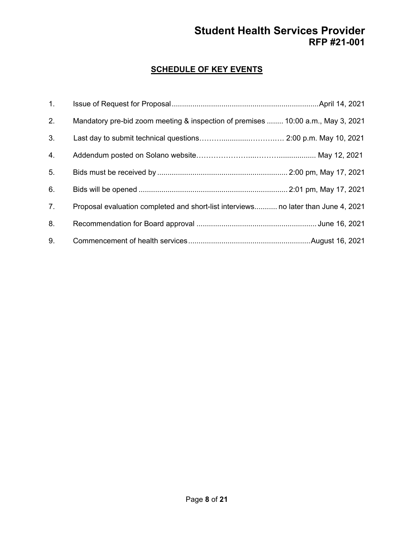## **SCHEDULE OF KEY EVENTS**

| 1.             |                                                                                    |  |
|----------------|------------------------------------------------------------------------------------|--|
| 2.             | Mandatory pre-bid zoom meeting & inspection of premises  10:00 a.m., May 3, 2021   |  |
| 3.             |                                                                                    |  |
| 4.             |                                                                                    |  |
| 5.             |                                                                                    |  |
| 6.             |                                                                                    |  |
| 7 <sub>1</sub> | Proposal evaluation completed and short-list interviews no later than June 4, 2021 |  |
| 8.             |                                                                                    |  |
| 9.             |                                                                                    |  |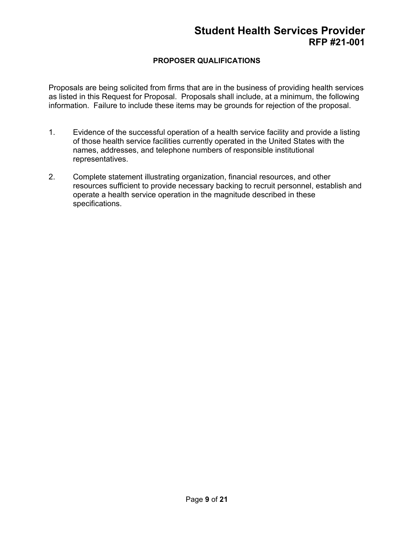## **PROPOSER QUALIFICATIONS**

Proposals are being solicited from firms that are in the business of providing health services as listed in this Request for Proposal. Proposals shall include, at a minimum, the following information. Failure to include these items may be grounds for rejection of the proposal.

- 1. Evidence of the successful operation of a health service facility and provide a listing of those health service facilities currently operated in the United States with the names, addresses, and telephone numbers of responsible institutional representatives.
- 2. Complete statement illustrating organization, financial resources, and other resources sufficient to provide necessary backing to recruit personnel, establish and operate a health service operation in the magnitude described in these specifications.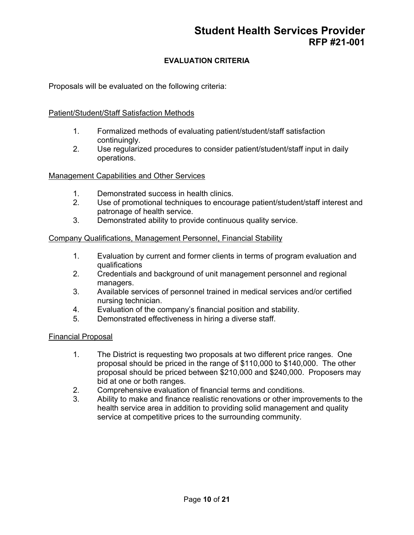## **EVALUATION CRITERIA**

Proposals will be evaluated on the following criteria:

### Patient/Student/Staff Satisfaction Methods

- 1. Formalized methods of evaluating patient/student/staff satisfaction continuingly.
- 2. Use regularized procedures to consider patient/student/staff input in daily operations.

#### Management Capabilities and Other Services

- 1. Demonstrated success in health clinics.<br>2. Use of promotional techniques to encou
- Use of promotional techniques to encourage patient/student/staff interest and patronage of health service.
- 3. Demonstrated ability to provide continuous quality service.

#### Company Qualifications, Management Personnel, Financial Stability

- 1. Evaluation by current and former clients in terms of program evaluation and qualifications
- 2. Credentials and background of unit management personnel and regional managers.
- 3. Available services of personnel trained in medical services and/or certified nursing technician.
- 4. Evaluation of the company's financial position and stability.
- 5. Demonstrated effectiveness in hiring a diverse staff.

#### Financial Proposal

- 1. The District is requesting two proposals at two different price ranges. One proposal should be priced in the range of \$110,000 to \$140,000. The other proposal should be priced between \$210,000 and \$240,000. Proposers may bid at one or both ranges.
- 2. Comprehensive evaluation of financial terms and conditions.<br>3. Ability to make and finance realistic renovations or other impro
- Ability to make and finance realistic renovations or other improvements to the health service area in addition to providing solid management and quality service at competitive prices to the surrounding community.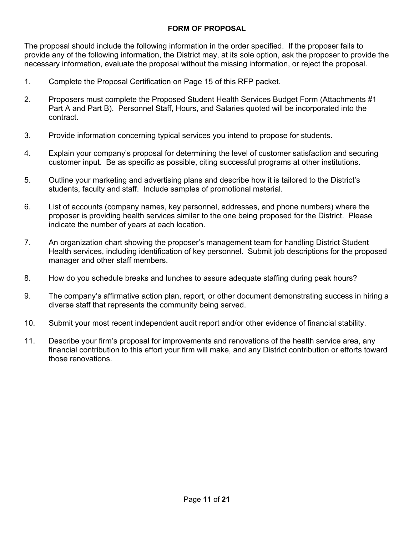### **FORM OF PROPOSAL**

The proposal should include the following information in the order specified. If the proposer fails to provide any of the following information, the District may, at its sole option, ask the proposer to provide the necessary information, evaluate the proposal without the missing information, or reject the proposal.

- 1. Complete the Proposal Certification on Page 15 of this RFP packet.
- 2. Proposers must complete the Proposed Student Health Services Budget Form (Attachments #1 Part A and Part B). Personnel Staff, Hours, and Salaries quoted will be incorporated into the contract.
- 3. Provide information concerning typical services you intend to propose for students.
- 4. Explain your company's proposal for determining the level of customer satisfaction and securing customer input. Be as specific as possible, citing successful programs at other institutions.
- 5. Outline your marketing and advertising plans and describe how it is tailored to the District's students, faculty and staff. Include samples of promotional material.
- 6. List of accounts (company names, key personnel, addresses, and phone numbers) where the proposer is providing health services similar to the one being proposed for the District. Please indicate the number of years at each location.
- 7. An organization chart showing the proposer's management team for handling District Student Health services, including identification of key personnel. Submit job descriptions for the proposed manager and other staff members.
- 8. How do you schedule breaks and lunches to assure adequate staffing during peak hours?
- 9. The company's affirmative action plan, report, or other document demonstrating success in hiring a diverse staff that represents the community being served.
- 10. Submit your most recent independent audit report and/or other evidence of financial stability.
- 11. Describe your firm's proposal for improvements and renovations of the health service area, any financial contribution to this effort your firm will make, and any District contribution or efforts toward those renovations.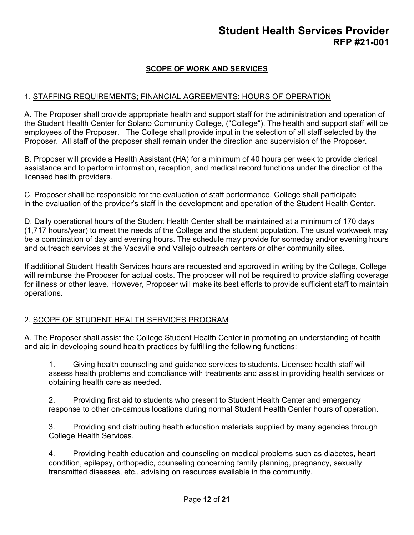## **SCOPE OF WORK AND SERVICES**

### 1. STAFFING REQUIREMENTS; FINANCIAL AGREEMENTS; HOURS OF OPERATION

A. The Proposer shall provide appropriate health and support staff for the administration and operation of the Student Health Center for Solano Community College, ("College"). The health and support staff will be employees of the Proposer. The College shall provide input in the selection of all staff selected by the Proposer. All staff of the proposer shall remain under the direction and supervision of the Proposer.

B. Proposer will provide a Health Assistant (HA) for a minimum of 40 hours per week to provide clerical assistance and to perform information, reception, and medical record functions under the direction of the licensed health providers.

C. Proposer shall be responsible for the evaluation of staff performance. College shall participate in the evaluation of the provider's staff in the development and operation of the Student Health Center.

D. Daily operational hours of the Student Health Center shall be maintained at a minimum of 170 days (1,717 hours/year) to meet the needs of the College and the student population. The usual workweek may be a combination of day and evening hours. The schedule may provide for someday and/or evening hours and outreach services at the Vacaville and Vallejo outreach centers or other community sites.

If additional Student Health Services hours are requested and approved in writing by the College, College will reimburse the Proposer for actual costs. The proposer will not be required to provide staffing coverage for illness or other leave. However, Proposer will make its best efforts to provide sufficient staff to maintain operations.

#### 2. SCOPE OF STUDENT HEALTH SERVICES PROGRAM

A. The Proposer shall assist the College Student Health Center in promoting an understanding of health and aid in developing sound health practices by fulfilling the following functions:

1. Giving health counseling and guidance services to students. Licensed health staff will assess health problems and compliance with treatments and assist in providing health services or obtaining health care as needed.

2. Providing first aid to students who present to Student Health Center and emergency response to other on-campus locations during normal Student Health Center hours of operation.

3. Providing and distributing health education materials supplied by many agencies through College Health Services.

4. Providing health education and counseling on medical problems such as diabetes, heart condition, epilepsy, orthopedic, counseling concerning family planning, pregnancy, sexually transmitted diseases, etc., advising on resources available in the community.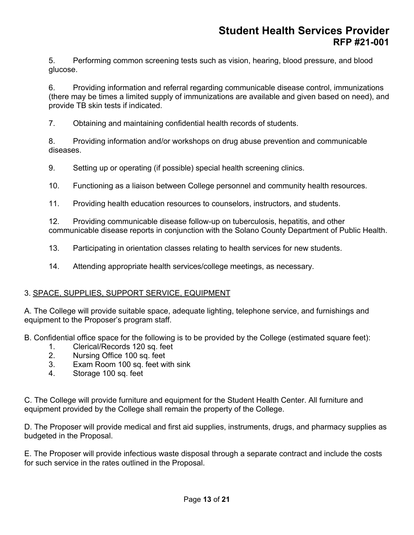5. Performing common screening tests such as vision, hearing, blood pressure, and blood glucose.

6. Providing information and referral regarding communicable disease control, immunizations (there may be times a limited supply of immunizations are available and given based on need), and provide TB skin tests if indicated.

7. Obtaining and maintaining confidential health records of students.

8. Providing information and/or workshops on drug abuse prevention and communicable diseases.

9. Setting up or operating (if possible) special health screening clinics.

10. Functioning as a liaison between College personnel and community health resources.

11. Providing health education resources to counselors, instructors, and students.

12. Providing communicable disease follow-up on tuberculosis, hepatitis, and other communicable disease reports in conjunction with the Solano County Department of Public Health.

13. Participating in orientation classes relating to health services for new students.

14. Attending appropriate health services/college meetings, as necessary.

## 3. SPACE, SUPPLIES, SUPPORT SERVICE, EQUIPMENT

A. The College will provide suitable space, adequate lighting, telephone service, and furnishings and equipment to the Proposer's program staff.

B. Confidential office space for the following is to be provided by the College (estimated square feet):

- 1. Clerical/Records 120 sq. feet
- 2. Nursing Office 100 sq. feet
- 3. Exam Room 100 sq. feet with sink
- 4. Storage 100 sq. feet

C. The College will provide furniture and equipment for the Student Health Center. All furniture and equipment provided by the College shall remain the property of the College.

D. The Proposer will provide medical and first aid supplies, instruments, drugs, and pharmacy supplies as budgeted in the Proposal.

E. The Proposer will provide infectious waste disposal through a separate contract and include the costs for such service in the rates outlined in the Proposal.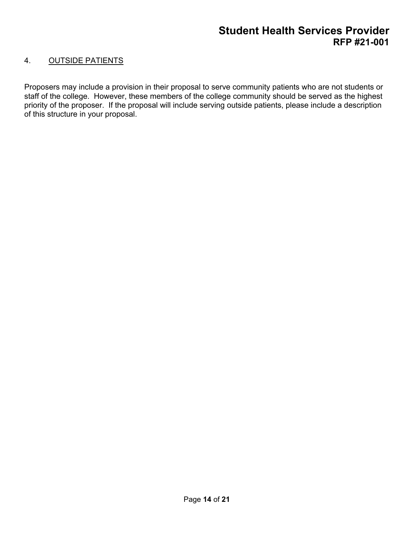## 4. OUTSIDE PATIENTS

Proposers may include a provision in their proposal to serve community patients who are not students or staff of the college. However, these members of the college community should be served as the highest priority of the proposer. If the proposal will include serving outside patients, please include a description of this structure in your proposal.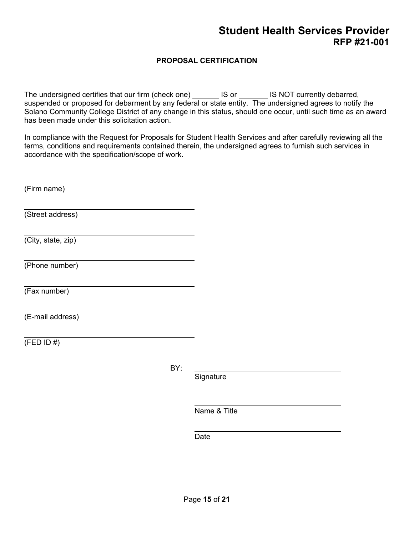## **PROPOSAL CERTIFICATION**

The undersigned certifies that our firm (check one) \_\_\_\_\_\_\_ IS or \_\_\_\_\_\_\_ IS NOT currently debarred, suspended or proposed for debarment by any federal or state entity. The undersigned agrees to notify the Solano Community College District of any change in this status, should one occur, until such time as an award has been made under this solicitation action.

In compliance with the Request for Proposals for Student Health Services and after carefully reviewing all the terms, conditions and requirements contained therein, the undersigned agrees to furnish such services in accordance with the specification/scope of work.

(Firm name) (Street address) (City, state, zip) (Phone number) (Fax number) (E-mail address)  $(FED ID #)$ 

BY:

**Signature** 

Name & Title

Date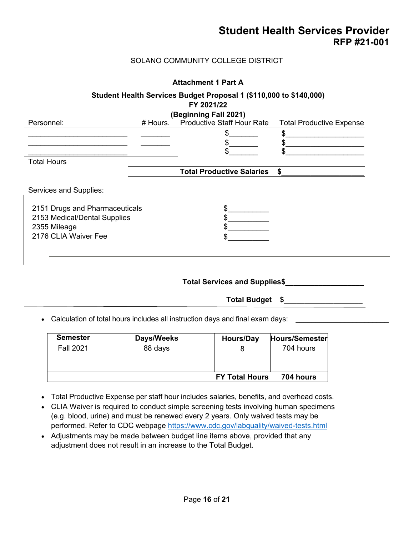### SOLANO COMMUNITY COLLEGE DISTRICT

#### **Attachment 1 Part A**

### **Student Health Services Budget Proposal 1 (\$110,000 to \$140,000) FY 2021/22**

| <b>Productive Staff Hour Rate</b><br>\$<br><b>Total Productive Salaries</b> | <b>Total Productive Expense</b><br>\$ |
|-----------------------------------------------------------------------------|---------------------------------------|
|                                                                             |                                       |
|                                                                             |                                       |
|                                                                             |                                       |
|                                                                             |                                       |
|                                                                             |                                       |
|                                                                             |                                       |
|                                                                             |                                       |
|                                                                             |                                       |
|                                                                             |                                       |
|                                                                             |                                       |
|                                                                             |                                       |
|                                                                             |                                       |

#### **Total Services and Supplies\$\_\_\_\_\_\_\_\_\_\_\_\_\_\_\_\_\_\_\_**

**Total Budget \$\_\_\_\_\_\_\_\_\_\_\_\_\_\_\_\_\_\_\_**

• Calculation of total hours includes all instruction days and final exam days:

| <b>Semester</b>  | Days/Weeks | Hours/Day             | Hours/Semester |
|------------------|------------|-----------------------|----------------|
| <b>Fall 2021</b> | 88 days    |                       | 704 hours      |
|                  |            | <b>FY Total Hours</b> | 704 hours      |

- Total Productive Expense per staff hour includes salaries, benefits, and overhead costs.
- CLIA Waiver is required to conduct simple screening tests involving human specimens (e.g. blood, urine) and must be renewed every 2 years. Only waived tests may be performed. Refer to CDC webpage<https://www.cdc.gov/labquality/waived-tests.html>
- Adjustments may be made between budget line items above, provided that any adjustment does not result in an increase to the Total Budget.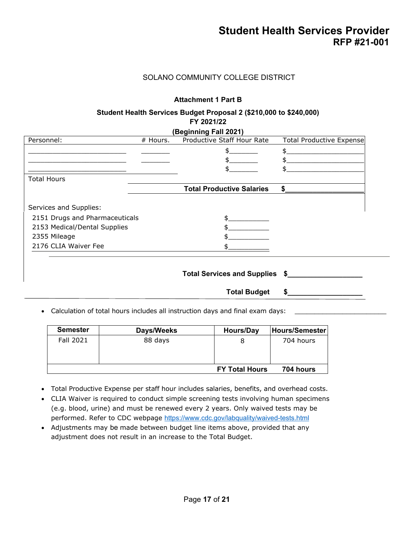#### SOLANO COMMUNITY COLLEGE DISTRICT

#### **Attachment 1 Part B**

#### **Student Health Services Budget Proposal 2 (\$210,000 to \$240,000)**

#### **FY 2021/22**

#### **(Beginning Fall 2021)**

| Personnel:                     | # Hours. | Productive Staff Hour Rate       | <b>Total Productive Expense</b> |
|--------------------------------|----------|----------------------------------|---------------------------------|
|                                |          |                                  |                                 |
|                                |          |                                  |                                 |
|                                |          |                                  |                                 |
| <b>Total Hours</b>             |          |                                  |                                 |
|                                |          | <b>Total Productive Salaries</b> | ፍ                               |
|                                |          |                                  |                                 |
| Services and Supplies:         |          |                                  |                                 |
| 2151 Drugs and Pharmaceuticals |          |                                  |                                 |
| 2153 Medical/Dental Supplies   |          |                                  |                                 |
| 2355 Mileage                   |          |                                  |                                 |
| 2176 CLIA Waiver Fee           |          |                                  |                                 |
|                                |          |                                  |                                 |

#### **Total Services and Supplies \$\_\_\_\_\_\_\_\_\_\_\_\_\_\_\_\_\_\_\_**

**Total Budget \$\_\_\_\_\_\_\_\_\_\_\_\_\_\_\_\_\_\_\_**

• Calculation of total hours includes all instruction days and final exam days:

| <b>Semester</b>  | Days/Weeks | Hours/Day             | Hours/Semester |
|------------------|------------|-----------------------|----------------|
| <b>Fall 2021</b> | 88 days    | 8                     | 704 hours      |
|                  |            | <b>FY Total Hours</b> | 704 hours      |

- Total Productive Expense per staff hour includes salaries, benefits, and overhead costs.
- CLIA Waiver is required to conduct simple screening tests involving human specimens (e.g. blood, urine) and must be renewed every 2 years. Only waived tests may be performed. Refer to CDC webpage <https://www.cdc.gov/labquality/waived-tests.html>
- Adjustments may be made between budget line items above, provided that any adjustment does not result in an increase to the Total Budget.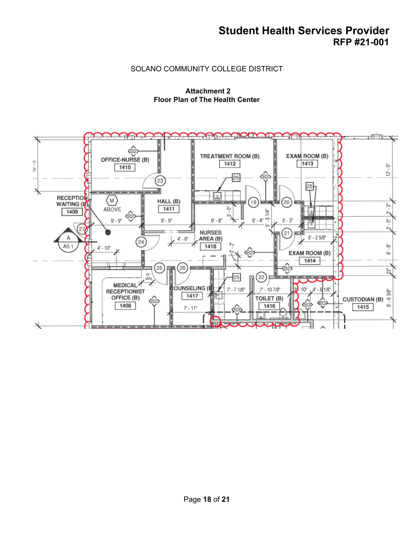### SOLANO COMMUNITY COLLEGE DISTRICT

#### **Attachment 2 Floor Plan of The Health Center**

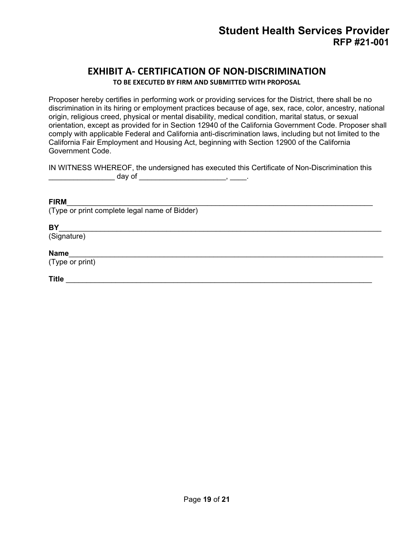## **EXHIBIT A- CERTIFICATION OF NON-DISCRIMINATION**

**TO BE EXECUTED BY FIRM AND SUBMITTED WITH PROPOSAL**

Proposer hereby certifies in performing work or providing services for the District, there shall be no discrimination in its hiring or employment practices because of age, sex, race, color, ancestry, national origin, religious creed, physical or mental disability, medical condition, marital status, or sexual orientation, except as provided for in Section 12940 of the California Government Code. Proposer shall comply with applicable Federal and California anti-discrimination laws, including but not limited to the California Fair Employment and Housing Act, beginning with Section 12900 of the California Government Code.

IN WITNESS WHEREOF, the undersigned has executed this Certificate of Non-Discrimination this \_\_\_\_\_\_\_\_\_\_\_\_\_\_\_\_ day of \_\_\_\_\_\_\_\_\_\_\_\_\_\_\_\_\_\_\_\_\_, \_\_\_\_.

### **FIRM**\_\_\_\_\_\_\_\_\_\_\_\_\_\_\_\_\_\_\_\_\_\_\_\_\_\_\_\_\_\_\_\_\_\_\_\_\_\_\_\_\_\_\_\_\_\_\_\_\_\_\_\_\_\_\_\_\_\_\_\_\_\_\_\_\_\_\_\_\_\_\_\_\_\_

(Type or print complete legal name of Bidder)

#### **BY**\_\_\_\_\_\_\_\_\_\_\_\_\_\_\_\_\_\_\_\_\_\_\_\_\_\_\_\_\_\_\_\_\_\_\_\_\_\_\_\_\_\_\_\_\_\_\_\_\_\_\_\_\_\_\_\_\_\_\_\_\_\_\_\_\_\_\_\_\_\_\_\_\_\_\_\_\_\_

(Signature)

### **Name**\_\_\_\_\_\_\_\_\_\_\_\_\_\_\_\_\_\_\_\_\_\_\_\_\_\_\_\_\_\_\_\_\_\_\_\_\_\_\_\_\_\_\_\_\_\_\_\_\_\_\_\_\_\_\_\_\_\_\_\_\_\_\_\_\_\_\_\_\_\_\_\_\_\_\_\_

(Type or print)

**Title** \_\_\_\_\_\_\_\_\_\_\_\_\_\_\_\_\_\_\_\_\_\_\_\_\_\_\_\_\_\_\_\_\_\_\_\_\_\_\_\_\_\_\_\_\_\_\_\_\_\_\_\_\_\_\_\_\_\_\_\_\_\_\_\_\_\_\_\_\_\_\_\_\_\_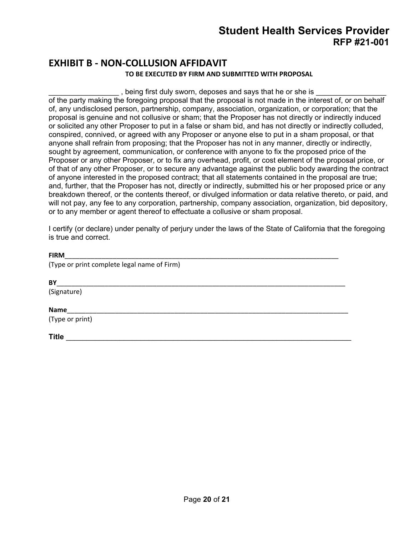# **EXHIBIT B - NON-COLLUSION AFFIDAVIT**

#### **TO BE EXECUTED BY FIRM AND SUBMITTED WITH PROPOSAL**

, being first duly sworn, deposes and says that he or she is

of the party making the foregoing proposal that the proposal is not made in the interest of, or on behalf of, any undisclosed person, partnership, company, association, organization, or corporation; that the proposal is genuine and not collusive or sham; that the Proposer has not directly or indirectly induced or solicited any other Proposer to put in a false or sham bid, and has not directly or indirectly colluded, conspired, connived, or agreed with any Proposer or anyone else to put in a sham proposal, or that anyone shall refrain from proposing; that the Proposer has not in any manner, directly or indirectly, sought by agreement, communication, or conference with anyone to fix the proposed price of the Proposer or any other Proposer, or to fix any overhead, profit, or cost element of the proposal price, or of that of any other Proposer, or to secure any advantage against the public body awarding the contract of anyone interested in the proposed contract; that all statements contained in the proposal are true; and, further, that the Proposer has not, directly or indirectly, submitted his or her proposed price or any breakdown thereof, or the contents thereof, or divulged information or data relative thereto, or paid, and will not pay, any fee to any corporation, partnership, company association, organization, bid depository, or to any member or agent thereof to effectuate a collusive or sham proposal.

I certify (or declare) under penalty of perjury under the laws of the State of California that the foregoing is true and correct.

#### **FIRM**\_\_\_\_\_\_\_\_\_\_\_\_\_\_\_\_\_\_\_\_\_\_\_\_\_\_\_\_\_\_\_\_\_\_\_\_\_\_\_\_\_\_\_\_\_\_\_\_\_\_\_\_\_\_\_\_\_\_\_\_\_\_\_\_\_\_\_\_\_\_\_\_\_\_

(Type or print complete legal name of Firm)

**BY** 

(Signature)

#### **Name**\_\_\_\_\_\_\_\_\_\_\_\_\_\_\_\_\_\_\_\_\_\_\_\_\_\_\_\_\_\_\_\_\_\_\_\_\_\_\_\_\_\_\_\_\_\_\_\_\_\_\_\_\_\_\_\_\_\_\_\_\_\_\_\_\_\_\_\_\_\_\_\_\_\_\_\_

(Type or print)

**Title** \_\_\_\_\_\_\_\_\_\_\_\_\_\_\_\_\_\_\_\_\_\_\_\_\_\_\_\_\_\_\_\_\_\_\_\_\_\_\_\_\_\_\_\_\_\_\_\_\_\_\_\_\_\_\_\_\_\_\_\_\_\_\_\_\_\_\_\_\_